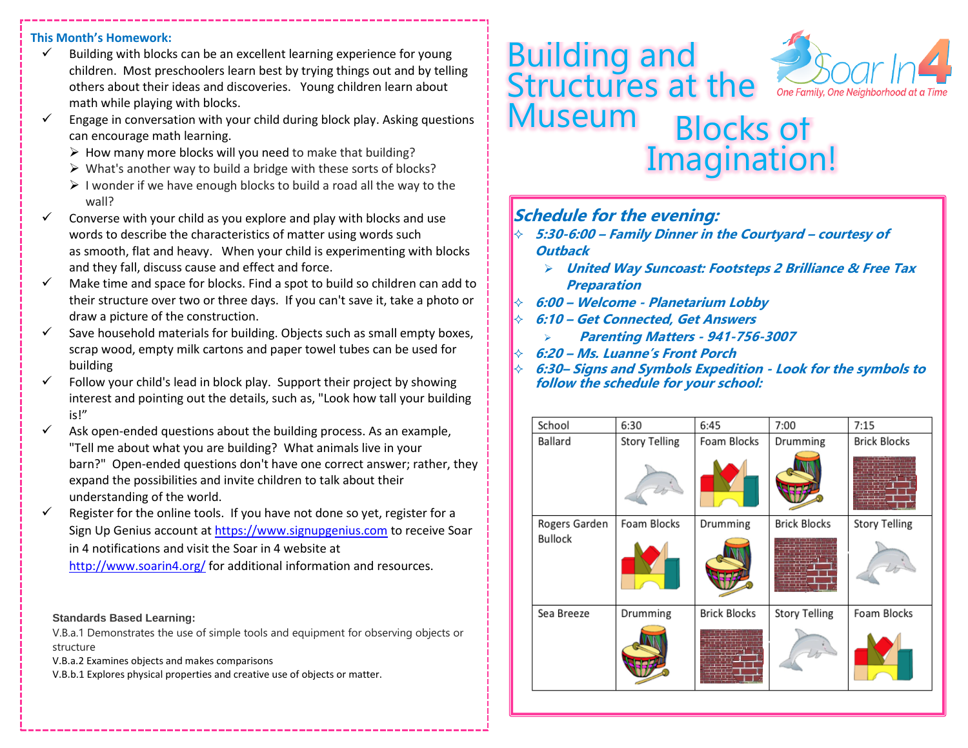### **This Month's Homework:**

- $\checkmark$  Building with blocks can be an excellent learning experience for young children. Most preschoolers learn best by trying things out and by telling others about their ideas and discoveries. Young children learn about math while playing with blocks.
- Engage in conversation with your child during block play. Asking questions can encourage math learning.
	- $\triangleright$  How many more blocks will you need to make that building?
	- $\triangleright$  What's another way to build a bridge with these sorts of blocks?
	- $\triangleright$  I wonder if we have enough blocks to build a road all the way to the wall?
- Converse with your child as you explore and play with blocks and use words to describe the characteristics of matter using words such as smooth, flat and heavy. When your child is experimenting with blocks and they fall, discuss cause and effect and force.
- $\checkmark$  Make time and space for blocks. Find a spot to build so children can add to their structure over two or three days. If you can't save it, take a photo or draw a picture of the construction.
- $\checkmark$  Save household materials for building. Objects such as small empty boxes, scrap wood, empty milk cartons and paper towel tubes can be used for building
- Follow your child's lead in block play. Support their project by showing interest and pointing out the details, such as, "Look how tall your building is!"
- $\checkmark$  Ask open-ended questions about the building process. As an example, "Tell me about what you are building? What animals live in your barn?" Open-ended questions don't have one correct answer; rather, they expand the possibilities and invite children to talk about their understanding of the world.
- $\checkmark$  Register for the online tools. If you have not done so yet, register for a Sign Up Genius account a[t https://www.signupgenius.com](https://www.signupgenius.com/) to receive Soar in 4 notifications and visit the Soar in 4 website at

<http://www.soarin4.org/> for additional information and resources.

#### **Standards Based Learning:**

V.B.a.1 Demonstrates the use of simple tools and equipment for observing objects or structure

V.B.a.2 Examines objects and makes comparisons

V.B.b.1 Explores physical properties and creative use of objects or matter.





# **Schedule for the evening:**

## **5:30-6:00 – Family Dinner in the Courtyard – courtesy of Outback**

- ➢ **United Way Suncoast: Footsteps 2 Brilliance & Free Tax Preparation**
- **6:00 – Welcome - Planetarium Lobby**
- **6:10 – Get Connected, Get Answers**
	- ➢ **Parenting Matters - 941-756-3007**
- **6:20 – Ms. Luanne's Front Porch**
- **6:30– Signs and Symbols Expedition - Look for the symbols to follow the schedule for your school:**

| School                          | 6:30                 | 6:45                | 7:00                 | 7:15                 |
|---------------------------------|----------------------|---------------------|----------------------|----------------------|
| Ballard                         | <b>Story Telling</b> | Foam Blocks         | Drumming             | <b>Brick Blocks</b>  |
|                                 |                      |                     |                      |                      |
| Rogers Garden<br><b>Bullock</b> | Foam Blocks          | Drumming            | <b>Brick Blocks</b>  | <b>Story Telling</b> |
|                                 |                      |                     |                      |                      |
| Sea Breeze                      | Drumming             | <b>Brick Blocks</b> | <b>Story Telling</b> | Foam Blocks          |
|                                 |                      |                     |                      |                      |